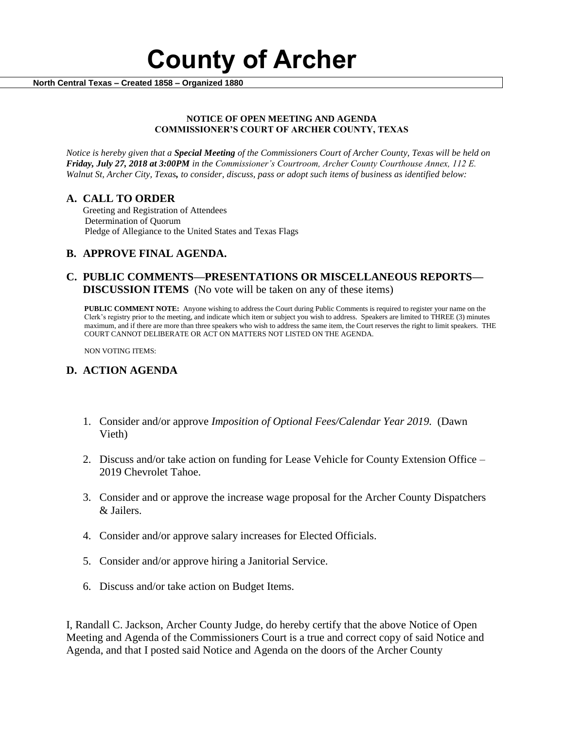

 **North Central Texas – Created 1858 – Organized 1880**

#### **NOTICE OF OPEN MEETING AND AGENDA COMMISSIONER'S COURT OF ARCHER COUNTY, TEXAS**

*Notice is hereby given that a Special Meeting of the Commissioners Court of Archer County, Texas will be held on Friday, July 27, 2018 at 3:00PM in the Commissioner's Courtroom, Archer County Courthouse Annex, 112 E. Walnut St, Archer City, Texas, to consider, discuss, pass or adopt such items of business as identified below:*

## **A. CALL TO ORDER**

 Greeting and Registration of Attendees Determination of Quorum Pledge of Allegiance to the United States and Texas Flags

## **B. APPROVE FINAL AGENDA.**

## **C. PUBLIC COMMENTS—PRESENTATIONS OR MISCELLANEOUS REPORTS— DISCUSSION ITEMS** (No vote will be taken on any of these items)

**PUBLIC COMMENT NOTE:** Anyone wishing to address the Court during Public Comments is required to register your name on the Clerk's registry prior to the meeting, and indicate which item or subject you wish to address. Speakers are limited to THREE (3) minutes maximum, and if there are more than three speakers who wish to address the same item, the Court reserves the right to limit speakers. THE COURT CANNOT DELIBERATE OR ACT ON MATTERS NOT LISTED ON THE AGENDA.

NON VOTING ITEMS:

# **D. ACTION AGENDA**

- 1. Consider and/or approve *Imposition of Optional Fees/Calendar Year 2019.* (Dawn Vieth)
- 2. Discuss and/or take action on funding for Lease Vehicle for County Extension Office 2019 Chevrolet Tahoe.
- 3. Consider and or approve the increase wage proposal for the Archer County Dispatchers & Jailers.
- 4. Consider and/or approve salary increases for Elected Officials.
- 5. Consider and/or approve hiring a Janitorial Service.
- 6. Discuss and/or take action on Budget Items.

I, Randall C. Jackson, Archer County Judge, do hereby certify that the above Notice of Open Meeting and Agenda of the Commissioners Court is a true and correct copy of said Notice and Agenda, and that I posted said Notice and Agenda on the doors of the Archer County